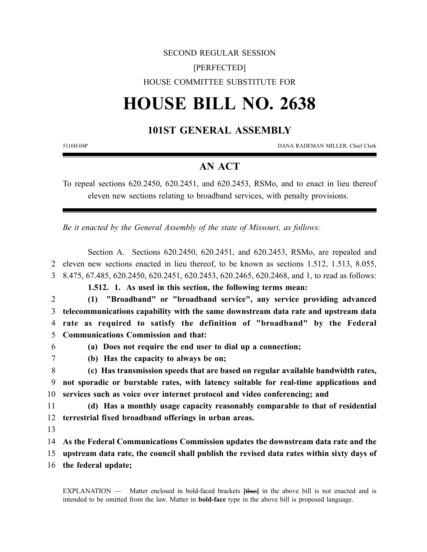# SECOND REGULAR SESSION [PERFECTED] HOUSE COMMITTEE SUBSTITUTE FOR

# **HOUSE BILL NO. 2638**

## **101ST GENERAL ASSEMBLY**

5116H.04P DANA RADEMAN MILLER, Chief Clerk

## **AN ACT**

To repeal sections 620.2450, 620.2451, and 620.2453, RSMo, and to enact in lieu thereof eleven new sections relating to broadband services, with penalty provisions.

*Be it enacted by the General Assembly of the state of Missouri, as follows:*

Section A. Sections 620.2450, 620.2451, and 620.2453, RSMo, are repealed and 2 eleven new sections enacted in lieu thereof, to be known as sections 1.512, 1.513, 8.055, 3 8.475, 67.485, 620.2450, 620.2451, 620.2453, 620.2465, 620.2468, and 1, to read as follows:

**1.512. 1. As used in this section, the following terms mean:**

2 **(1) "Broadband" or "broadband service", any service providing advanced** 3 **telecommunications capability with the same downstream data rate and upstream data**

4 **rate as required to satisfy the definition of "broadband" by the Federal** 5 **Communications Commission and that:**

### 6 **(a) Does not require the end user to dial up a connection;**

7 **(b) Has the capacity to always be on;**

8 **(c) Has transmission speeds that are based on regular available bandwidth rates,** 9 **not sporadic or burstable rates, with latency suitable for real-time applications and** 10 **services such as voice over internet protocol and video conferencing; and**

11 **(d) Has a monthly usage capacity reasonably comparable to that of residential** 12 **terrestrial fixed broadband offerings in urban areas.**

13

14 **As the Federal Communications Commission updates the downstream data rate and the**

15 **upstream data rate, the council shall publish the revised data rates within sixty days of**

16 **the federal update;**

EXPLANATION — Matter enclosed in bold-faced brackets **[**thus**]** in the above bill is not enacted and is intended to be omitted from the law. Matter in **bold-face** type in the above bill is proposed language.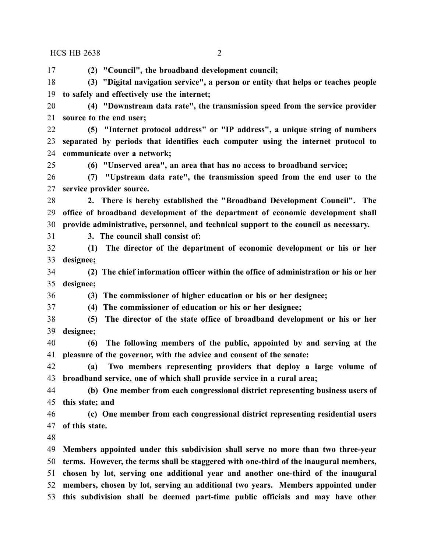**(2) "Council", the broadband development council; (3) "Digital navigation service", a person or entity that helps or teaches people to safely and effectively use the internet; (4) "Downstream data rate", the transmission speed from the service provider source to the end user; (5) "Internet protocol address" or "IP address", a unique string of numbers separated by periods that identifies each computer using the internet protocol to communicate over a network; (6) "Unserved area", an area that has no access to broadband service; (7) "Upstream data rate", the transmission speed from the end user to the service provider source. 2. There is hereby established the "Broadband Development Council". The office of broadband development of the department of economic development shall provide administrative, personnel, and technical support to the council as necessary. 3. The council shall consist of: (1) The director of the department of economic development or his or her designee; (2) The chief information officer within the office of administration or his or her designee; (3) The commissioner of higher education or his or her designee; (4) The commissioner of education or his or her designee; (5) The director of the state office of broadband development or his or her designee; (6) The following members of the public, appointed by and serving at the pleasure of the governor, with the advice and consent of the senate: (a) Two members representing providers that deploy a large volume of broadband service, one of which shall provide service in a rural area; (b) One member from each congressional district representing business users of this state; and (c) One member from each congressional district representing residential users of this state. Members appointed under this subdivision shall serve no more than two three-year terms. However, the terms shall be staggered with one-third of the inaugural members, chosen by lot, serving one additional year and another one-third of the inaugural** HCS HB 2638 2

 **members, chosen by lot, serving an additional two years. Members appointed under this subdivision shall be deemed part-time public officials and may have other**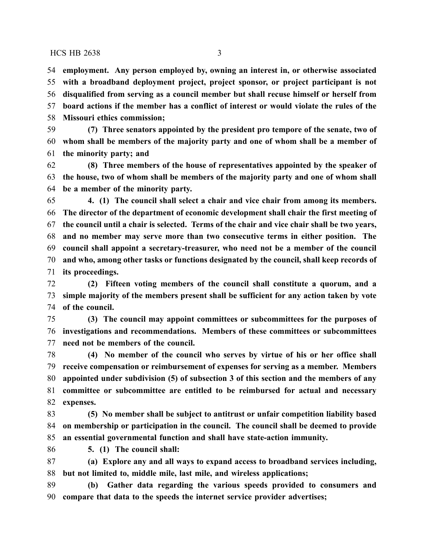**employment. Any person employed by, owning an interest in, or otherwise associated with a broadband deployment project, project sponsor, or project participant is not disqualified from serving as a council member but shall recuse himself or herself from board actions if the member has a conflict of interest or would violate the rules of the Missouri ethics commission;**

 **(7) Three senators appointed by the president pro tempore of the senate, two of whom shall be members of the majority party and one of whom shall be a member of the minority party; and**

 **(8) Three members of the house of representatives appointed by the speaker of the house, two of whom shall be members of the majority party and one of whom shall be a member of the minority party.**

 **4. (1) The council shall select a chair and vice chair from among its members. The director of the department of economic development shall chair the first meeting of the council until a chair is selected. Terms of the chair and vice chair shall be two years, and no member may serve more than two consecutive terms in either position. The council shall appoint a secretary-treasurer, who need not be a member of the council and who, among other tasks or functions designated by the council, shall keep records of its proceedings.**

 **(2) Fifteen voting members of the council shall constitute a quorum, and a simple majority of the members present shall be sufficient for any action taken by vote of the council.**

 **(3) The council may appoint committees or subcommittees for the purposes of investigations and recommendations. Members of these committees or subcommittees need not be members of the council.**

 **(4) No member of the council who serves by virtue of his or her office shall receive compensation or reimbursement of expenses for serving as a member. Members appointed under subdivision (5) of subsection 3 of this section and the members of any committee or subcommittee are entitled to be reimbursed for actual and necessary expenses.**

 **(5) No member shall be subject to antitrust or unfair competition liability based on membership or participation in the council. The council shall be deemed to provide an essential governmental function and shall have state-action immunity.**

**5. (1) The council shall:**

 **(a) Explore any and all ways to expand access to broadband services including, but not limited to, middle mile, last mile, and wireless applications;**

 **(b) Gather data regarding the various speeds provided to consumers and compare that data to the speeds the internet service provider advertises;**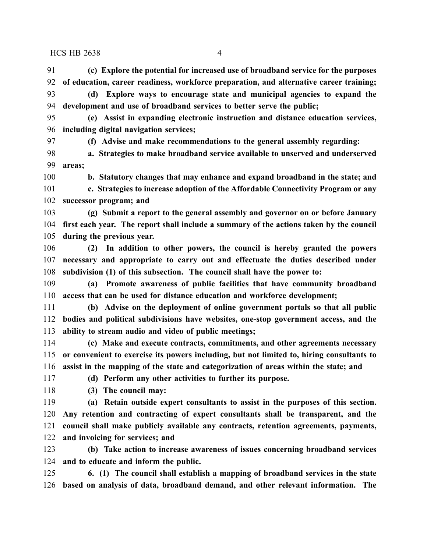**(c) Explore the potential for increased use of broadband service for the purposes of education, career readiness, workforce preparation, and alternative career training; (d) Explore ways to encourage state and municipal agencies to expand the**

 **development and use of broadband services to better serve the public; (e) Assist in expanding electronic instruction and distance education services, including digital navigation services; (f) Advise and make recommendations to the general assembly regarding: a. Strategies to make broadband service available to unserved and underserved areas; b. Statutory changes that may enhance and expand broadband in the state; and c. Strategies to increase adoption of the Affordable Connectivity Program or any successor program; and (g) Submit a report to the general assembly and governor on or before January first each year. The report shall include a summary of the actions taken by the council during the previous year. (2) In addition to other powers, the council is hereby granted the powers bodies and political subdivisions have websites, one-stop government access, and the ability to stream audio and video of public meetings; (c) Make and execute contracts, commitments, and other agreements necessary or convenient to exercise its powers including, but not limited to, hiring consultants to assist in the mapping of the state and categorization of areas within the state; and (d) Perform any other activities to further its purpose. (3) The council may: (a) Retain outside expert consultants to assist in the purposes of this section.**

 **Any retention and contracting of expert consultants shall be transparent, and the council shall make publicly available any contracts, retention agreements, payments, and invoicing for services; and**

 **(b) Take action to increase awareness of issues concerning broadband services and to educate and inform the public.**

 **6. (1) The council shall establish a mapping of broadband services in the state based on analysis of data, broadband demand, and other relevant information. The**

 **necessary and appropriate to carry out and effectuate the duties described under subdivision (1) of this subsection. The council shall have the power to:**

**(a) Promote awareness of public facilities that have community broadband**

 **access that can be used for distance education and workforce development; (b) Advise on the deployment of online government portals so that all public**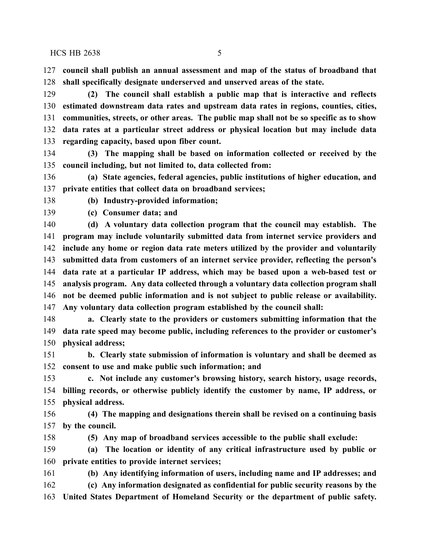$HCS$  HB 2638  $\overline{5}$ 

 **council shall publish an annual assessment and map of the status of broadband that shall specifically designate underserved and unserved areas of the state.**

 **(2) The council shall establish a public map that is interactive and reflects estimated downstream data rates and upstream data rates in regions, counties, cities, communities, streets, or other areas. The public map shall not be so specific as to show data rates at a particular street address or physical location but may include data regarding capacity, based upon fiber count.**

 **(3) The mapping shall be based on information collected or received by the council including, but not limited to, data collected from:**

 **(a) State agencies, federal agencies, public institutions of higher education, and private entities that collect data on broadband services;**

**(b) Industry-provided information;**

**(c) Consumer data; and**

 **(d) A voluntary data collection program that the council may establish. The program may include voluntarily submitted data from internet service providers and include any home or region data rate meters utilized by the provider and voluntarily submitted data from customers of an internet service provider, reflecting the person's data rate at a particular IP address, which may be based upon a web-based test or analysis program. Any data collected through a voluntary data collection program shall not be deemed public information and is not subject to public release or availability. Any voluntary data collection program established by the council shall:**

 **a. Clearly state to the providers or customers submitting information that the data rate speed may become public, including references to the provider or customer's physical address;**

 **b. Clearly state submission of information is voluntary and shall be deemed as consent to use and make public such information; and**

 **c. Not include any customer's browsing history, search history, usage records, billing records, or otherwise publicly identify the customer by name, IP address, or physical address.**

 **(4) The mapping and designations therein shall be revised on a continuing basis by the council.**

**(5) Any map of broadband services accessible to the public shall exclude:**

 **(a) The location or identity of any critical infrastructure used by public or private entities to provide internet services;**

 **(b) Any identifying information of users, including name and IP addresses; and (c) Any information designated as confidential for public security reasons by the United States Department of Homeland Security or the department of public safety.**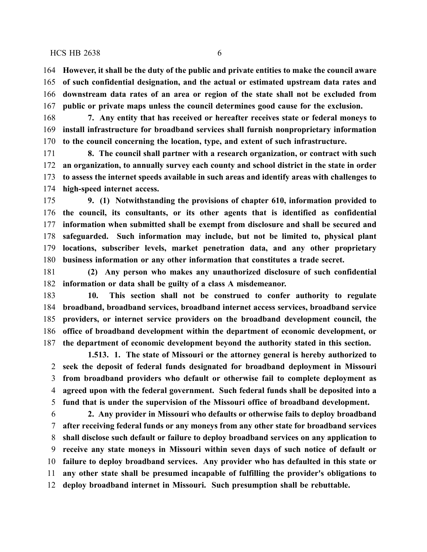**However, it shall be the duty of the public and private entities to make the council aware of such confidential designation, and the actual or estimated upstream data rates and downstream data rates of an area or region of the state shall not be excluded from public or private maps unless the council determines good cause for the exclusion.**

 **7. Any entity that has received or hereafter receives state or federal moneys to install infrastructure for broadband services shall furnish nonproprietary information to the council concerning the location, type, and extent of such infrastructure.**

 **8. The council shall partner with a research organization, or contract with such an organization, to annually survey each county and school district in the state in order to assess the internet speeds available in such areas and identify areas with challenges to high-speed internet access.**

 **9. (1) Notwithstanding the provisions of chapter 610, information provided to the council, its consultants, or its other agents that is identified as confidential information when submitted shall be exempt from disclosure and shall be secured and safeguarded. Such information may include, but not be limited to, physical plant locations, subscriber levels, market penetration data, and any other proprietary business information or any other information that constitutes a trade secret.**

 **(2) Any person who makes any unauthorized disclosure of such confidential information or data shall be guilty of a class A misdemeanor.**

 **10. This section shall not be construed to confer authority to regulate broadband, broadband services, broadband internet access services, broadband service providers, or internet service providers on the broadband development council, the office of broadband development within the department of economic development, or the department of economic development beyond the authority stated in this section.**

**1.513. 1. The state of Missouri or the attorney general is hereby authorized to seek the deposit of federal funds designated for broadband deployment in Missouri from broadband providers who default or otherwise fail to complete deployment as agreed upon with the federal government. Such federal funds shall be deposited into a fund that is under the supervision of the Missouri office of broadband development.**

 **2. Any provider in Missouri who defaults or otherwise fails to deploy broadband after receiving federal funds or any moneys from any other state for broadband services shall disclose such default or failure to deploy broadband services on any application to receive any state moneys in Missouri within seven days of such notice of default or failure to deploy broadband services. Any provider who has defaulted in this state or any other state shall be presumed incapable of fulfilling the provider's obligations to deploy broadband internet in Missouri. Such presumption shall be rebuttable.**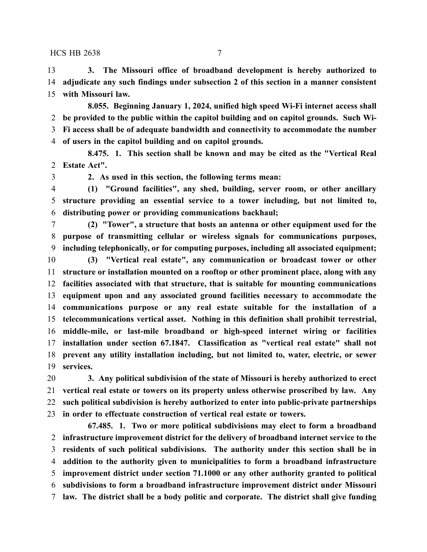**3. The Missouri office of broadband development is hereby authorized to adjudicate any such findings under subsection 2 of this section in a manner consistent with Missouri law.**

**8.055. Beginning January 1, 2024, unified high speed Wi-Fi internet access shall be provided to the public within the capitol building and on capitol grounds. Such Wi- Fi access shall be of adequate bandwidth and connectivity to accommodate the number of users in the capitol building and on capitol grounds.**

**8.475. 1. This section shall be known and may be cited as the "Vertical Real Estate Act".**

**2. As used in this section, the following terms mean:**

 **(1) "Ground facilities", any shed, building, server room, or other ancillary structure providing an essential service to a tower including, but not limited to, distributing power or providing communications backhaul;**

 **(2) "Tower", a structure that hosts an antenna or other equipment used for the purpose of transmitting cellular or wireless signals for communications purposes, including telephonically, or for computing purposes, including all associated equipment;**

 **(3) "Vertical real estate", any communication or broadcast tower or other structure or installation mounted on a rooftop or other prominent place, along with any facilities associated with that structure, that is suitable for mounting communications equipment upon and any associated ground facilities necessary to accommodate the communications purpose or any real estate suitable for the installation of a telecommunications vertical asset. Nothing in this definition shall prohibit terrestrial, middle-mile, or last-mile broadband or high-speed internet wiring or facilities installation under section 67.1847. Classification as "vertical real estate" shall not prevent any utility installation including, but not limited to, water, electric, or sewer services.**

 **3. Any political subdivision of the state of Missouri is hereby authorized to erect vertical real estate or towers on its property unless otherwise proscribed by law. Any such political subdivision is hereby authorized to enter into public-private partnerships in order to effectuate construction of vertical real estate or towers.**

**67.485. 1. Two or more political subdivisions may elect to form a broadband infrastructure improvement district for the delivery of broadband internet service to the residents of such political subdivisions. The authority under this section shall be in addition to the authority given to municipalities to form a broadband infrastructure improvement district under section 71.1000 or any other authority granted to political subdivisions to form a broadband infrastructure improvement district under Missouri law. The district shall be a body politic and corporate. The district shall give funding**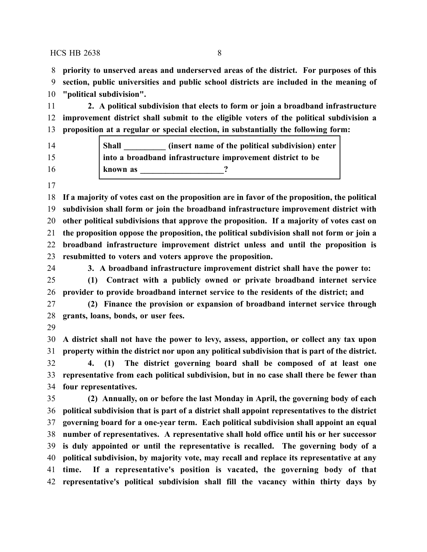**priority to unserved areas and underserved areas of the district. For purposes of this**

 **section, public universities and public school districts are included in the meaning of "political subdivision".**

 **2. A political subdivision that elects to form or join a broadband infrastructure improvement district shall submit to the eligible voters of the political subdivision a proposition at a regular or special election, in substantially the following form:**

| 14 | <b>Shall</b><br>(insert name of the political subdivision) enter |
|----|------------------------------------------------------------------|
| 15 | into a broadband infrastructure improvement district to be       |
| 16 | known as                                                         |

 **If a majority of votes cast on the proposition are in favor of the proposition, the political subdivision shall form or join the broadband infrastructure improvement district with other political subdivisions that approve the proposition. If a majority of votes cast on the proposition oppose the proposition, the political subdivision shall not form or join a broadband infrastructure improvement district unless and until the proposition is resubmitted to voters and voters approve the proposition.**

**3. A broadband infrastructure improvement district shall have the power to:**

 **(1) Contract with a publicly owned or private broadband internet service provider to provide broadband internet service to the residents of the district; and**

 **(2) Finance the provision or expansion of broadband internet service through grants, loans, bonds, or user fees.**

 **A district shall not have the power to levy, assess, apportion, or collect any tax upon property within the district nor upon any political subdivision that is part of the district.**

 **4. (1) The district governing board shall be composed of at least one representative from each political subdivision, but in no case shall there be fewer than four representatives.**

 **(2) Annually, on or before the last Monday in April, the governing body of each political subdivision that is part of a district shall appoint representatives to the district governing board for a one-year term. Each political subdivision shall appoint an equal number of representatives. A representative shall hold office until his or her successor is duly appointed or until the representative is recalled. The governing body of a political subdivision, by majority vote, may recall and replace its representative at any time. If a representative's position is vacated, the governing body of that representative's political subdivision shall fill the vacancy within thirty days by**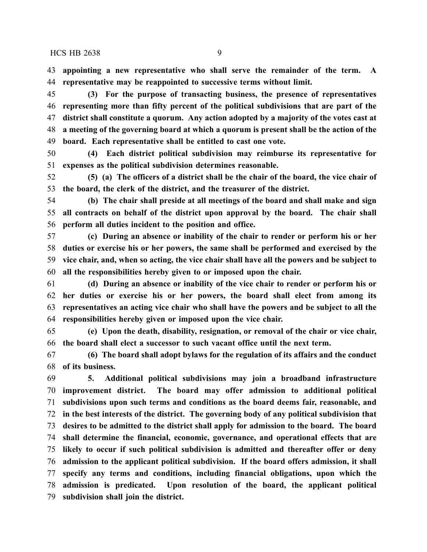**appointing a new representative who shall serve the remainder of the term. A representative may be reappointed to successive terms without limit.**

 **(3) For the purpose of transacting business, the presence of representatives representing more than fifty percent of the political subdivisions that are part of the district shall constitute a quorum. Any action adopted by a majority of the votes cast at a meeting of the governing board at which a quorum is present shall be the action of the board. Each representative shall be entitled to cast one vote.**

 **(4) Each district political subdivision may reimburse its representative for expenses as the political subdivision determines reasonable.**

 **(5) (a) The officers of a district shall be the chair of the board, the vice chair of the board, the clerk of the district, and the treasurer of the district.**

 **(b) The chair shall preside at all meetings of the board and shall make and sign all contracts on behalf of the district upon approval by the board. The chair shall perform all duties incident to the position and office.**

 **(c) During an absence or inability of the chair to render or perform his or her duties or exercise his or her powers, the same shall be performed and exercised by the vice chair, and, when so acting, the vice chair shall have all the powers and be subject to all the responsibilities hereby given to or imposed upon the chair.**

 **(d) During an absence or inability of the vice chair to render or perform his or her duties or exercise his or her powers, the board shall elect from among its representatives an acting vice chair who shall have the powers and be subject to all the responsibilities hereby given or imposed upon the vice chair.**

 **(e) Upon the death, disability, resignation, or removal of the chair or vice chair, the board shall elect a successor to such vacant office until the next term.**

 **(6) The board shall adopt bylaws for the regulation of its affairs and the conduct of its business.**

 **5. Additional political subdivisions may join a broadband infrastructure improvement district. The board may offer admission to additional political subdivisions upon such terms and conditions as the board deems fair, reasonable, and in the best interests of the district. The governing body of any political subdivision that desires to be admitted to the district shall apply for admission to the board. The board shall determine the financial, economic, governance, and operational effects that are likely to occur if such political subdivision is admitted and thereafter offer or deny admission to the applicant political subdivision. If the board offers admission, it shall specify any terms and conditions, including financial obligations, upon which the admission is predicated. Upon resolution of the board, the applicant political subdivision shall join the district.**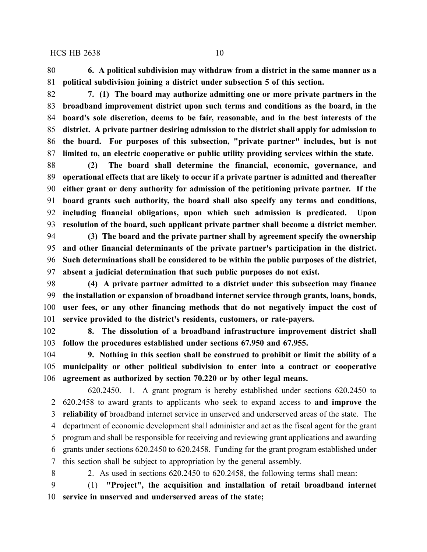**6. A political subdivision may withdraw from a district in the same manner as a political subdivision joining a district under subsection 5 of this section.**

 **7. (1) The board may authorize admitting one or more private partners in the broadband improvement district upon such terms and conditions as the board, in the board's sole discretion, deems to be fair, reasonable, and in the best interests of the district. A private partner desiring admission to the district shall apply for admission to the board. For purposes of this subsection, "private partner" includes, but is not limited to, an electric cooperative or public utility providing services within the state.**

 **(2) The board shall determine the financial, economic, governance, and operational effects that are likely to occur if a private partner is admitted and thereafter either grant or deny authority for admission of the petitioning private partner. If the board grants such authority, the board shall also specify any terms and conditions, including financial obligations, upon which such admission is predicated. Upon resolution of the board, such applicant private partner shall become a district member.**

 **(3) The board and the private partner shall by agreement specify the ownership and other financial determinants of the private partner's participation in the district. Such determinations shall be considered to be within the public purposes of the district, absent a judicial determination that such public purposes do not exist.**

 **(4) A private partner admitted to a district under this subsection may finance the installation or expansion of broadband internet service through grants, loans, bonds, user fees, or any other financing methods that do not negatively impact the cost of service provided to the district's residents, customers, or rate-payers.**

 **8. The dissolution of a broadband infrastructure improvement district shall follow the procedures established under sections 67.950 and 67.955.**

 **9. Nothing in this section shall be construed to prohibit or limit the ability of a municipality or other political subdivision to enter into a contract or cooperative agreement as authorized by section 70.220 or by other legal means.**

620.2450. 1. A grant program is hereby established under sections 620.2450 to 620.2458 to award grants to applicants who seek to expand access to **and improve the reliability of** broadband internet service in unserved and underserved areas of the state. The department of economic development shall administer and act as the fiscal agent for the grant program and shall be responsible for receiving and reviewing grant applications and awarding grants under sections 620.2450 to 620.2458. Funding for the grant program established under this section shall be subject to appropriation by the general assembly.

2. As used in sections 620.2450 to 620.2458, the following terms shall mean:

 (1) **"Project", the acquisition and installation of retail broadband internet service in unserved and underserved areas of the state;**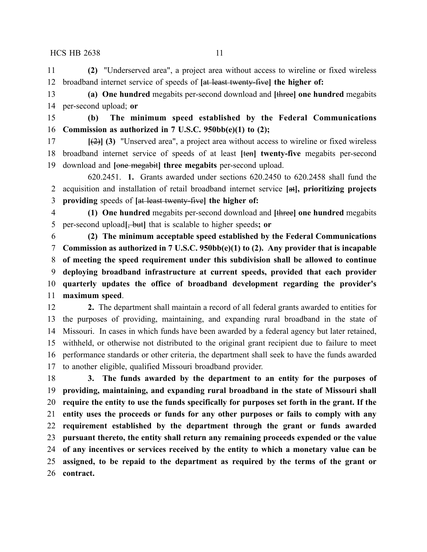**(2)** "Underserved area", a project area without access to wireline or fixed wireless broadband internet service of speeds of **[**at least twenty-five**] the higher of:**

 **(a) One hundred** megabits per-second download and **[**three**] one hundred** megabits per-second upload; **or**

 **(b) The minimum speed established by the Federal Communications Commission as authorized in 7 U.S.C. 950bb(e)(1) to (2);**

 **[**(2)**] (3)** "Unserved area", a project area without access to wireline or fixed wireless broadband internet service of speeds of at least **[**ten**] twenty-five** megabits per-second download and **[**one megabit**] three megabits** per-second upload.

620.2451. **1.** Grants awarded under sections 620.2450 to 620.2458 shall fund the acquisition and installation of retail broadband internet service **[**at**], prioritizing projects providing** speeds of **[**at least twenty-five**] the higher of:**

 **(1) One hundred** megabits per-second download and **[**three**] one hundred** megabits per-second upload**[**, but**]** that is scalable to higher speeds**; or**

 **(2) The minimum acceptable speed established by the Federal Communications Commission as authorized in 7 U.S.C. 950bb(e)(1) to (2). Any provider that is incapable of meeting the speed requirement under this subdivision shall be allowed to continue deploying broadband infrastructure at current speeds, provided that each provider quarterly updates the office of broadband development regarding the provider's maximum speed**.

 **2.** The department shall maintain a record of all federal grants awarded to entities for the purposes of providing, maintaining, and expanding rural broadband in the state of Missouri. In cases in which funds have been awarded by a federal agency but later retained, withheld, or otherwise not distributed to the original grant recipient due to failure to meet performance standards or other criteria, the department shall seek to have the funds awarded to another eligible, qualified Missouri broadband provider.

 **3. The funds awarded by the department to an entity for the purposes of providing, maintaining, and expanding rural broadband in the state of Missouri shall require the entity to use the funds specifically for purposes set forth in the grant. If the entity uses the proceeds or funds for any other purposes or fails to comply with any requirement established by the department through the grant or funds awarded pursuant thereto, the entity shall return any remaining proceeds expended or the value of any incentives or services received by the entity to which a monetary value can be assigned, to be repaid to the department as required by the terms of the grant or contract.**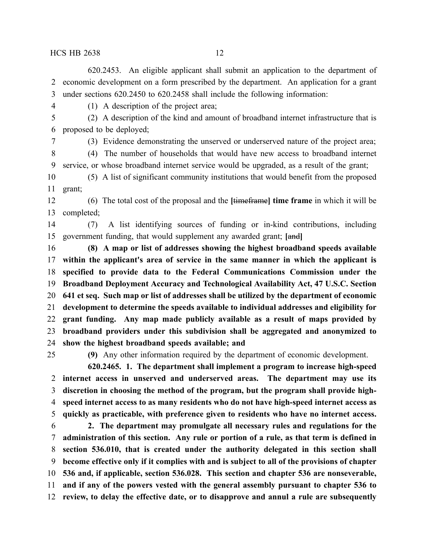620.2453. An eligible applicant shall submit an application to the department of economic development on a form prescribed by the department. An application for a grant under sections 620.2450 to 620.2458 shall include the following information:

(1) A description of the project area;

 (2) A description of the kind and amount of broadband internet infrastructure that is proposed to be deployed;

(3) Evidence demonstrating the unserved or underserved nature of the project area;

 (4) The number of households that would have new access to broadband internet service, or whose broadband internet service would be upgraded, as a result of the grant;

 (5) A list of significant community institutions that would benefit from the proposed grant;

 (6) The total cost of the proposal and the **[**timeframe**] time frame** in which it will be completed;

 (7) A list identifying sources of funding or in-kind contributions, including government funding, that would supplement any awarded grant; **[**and**]**

 **(8) A map or list of addresses showing the highest broadband speeds available within the applicant's area of service in the same manner in which the applicant is specified to provide data to the Federal Communications Commission under the Broadband Deployment Accuracy and Technological Availability Act, 47 U.S.C. Section 641 et seq. Such map or list of addresses shall be utilized by the department of economic development to determine the speeds available to individual addresses and eligibility for grant funding. Any map made publicly available as a result of maps provided by broadband providers under this subdivision shall be aggregated and anonymized to show the highest broadband speeds available; and**

**(9)** Any other information required by the department of economic development.

**620.2465. 1. The department shall implement a program to increase high-speed internet access in unserved and underserved areas. The department may use its discretion in choosing the method of the program, but the program shall provide high- speed internet access to as many residents who do not have high-speed internet access as quickly as practicable, with preference given to residents who have no internet access. 2. The department may promulgate all necessary rules and regulations for the**

 **administration of this section. Any rule or portion of a rule, as that term is defined in section 536.010, that is created under the authority delegated in this section shall become effective only if it complies with and is subject to all of the provisions of chapter 536 and, if applicable, section 536.028. This section and chapter 536 are nonseverable, and if any of the powers vested with the general assembly pursuant to chapter 536 to review, to delay the effective date, or to disapprove and annul a rule are subsequently**